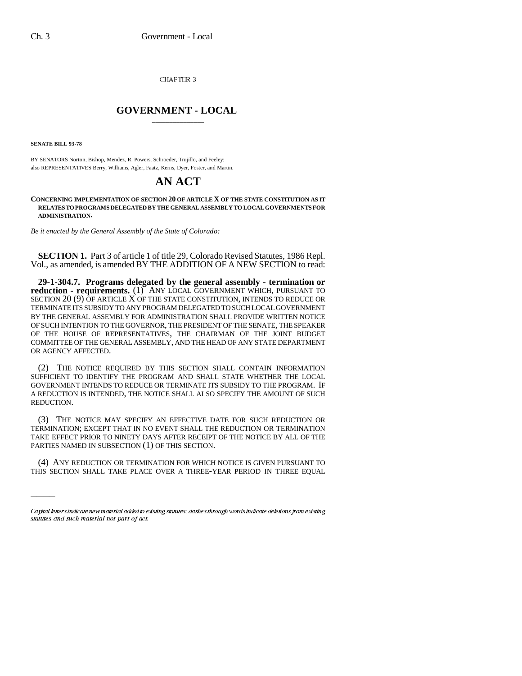CHAPTER 3

## \_\_\_\_\_\_\_\_\_\_\_\_\_\_\_ **GOVERNMENT - LOCAL** \_\_\_\_\_\_\_\_\_\_\_\_\_\_\_

**SENATE BILL 93-78**

 $\overline{\phantom{a}}$ 

BY SENATORS Norton, Bishop, Mendez, R. Powers, Schroeder, Trujillo, and Feeley; also REPRESENTATIVES Berry, Williams, Agler, Faatz, Kerns, Dyer, Foster, and Martin.

## **AN ACT**

**CONCERNING IMPLEMENTATION OF SECTION 20 OF ARTICLE X OF THE STATE CONSTITUTION AS IT RELATES TO PROGRAMS DELEGATED BY THE GENERAL ASSEMBLY TO LOCAL GOVERNMENTS FOR ADMINISTRATION.**

*Be it enacted by the General Assembly of the State of Colorado:*

**SECTION 1.** Part 3 of article 1 of title 29, Colorado Revised Statutes, 1986 Repl. Vol., as amended, is amended BY THE ADDITION OF A NEW SECTION to read:

**29-1-304.7. Programs delegated by the general assembly - termination or reduction - requirements.** (1) ANY LOCAL GOVERNMENT WHICH, PURSUANT TO SECTION 20 (9) OF ARTICLE X OF THE STATE CONSTITUTION, INTENDS TO REDUCE OR TERMINATE ITS SUBSIDY TO ANY PROGRAM DELEGATED TO SUCH LOCAL GOVERNMENT BY THE GENERAL ASSEMBLY FOR ADMINISTRATION SHALL PROVIDE WRITTEN NOTICE OF SUCH INTENTION TO THE GOVERNOR, THE PRESIDENT OF THE SENATE, THE SPEAKER OF THE HOUSE OF REPRESENTATIVES, THE CHAIRMAN OF THE JOINT BUDGET COMMITTEE OF THE GENERAL ASSEMBLY, AND THE HEAD OF ANY STATE DEPARTMENT OR AGENCY AFFECTED.

(2) THE NOTICE REQUIRED BY THIS SECTION SHALL CONTAIN INFORMATION SUFFICIENT TO IDENTIFY THE PROGRAM AND SHALL STATE WHETHER THE LOCAL GOVERNMENT INTENDS TO REDUCE OR TERMINATE ITS SUBSIDY TO THE PROGRAM. IF A REDUCTION IS INTENDED, THE NOTICE SHALL ALSO SPECIFY THE AMOUNT OF SUCH REDUCTION.

(3) THE NOTICE MAY SPECIFY AN EFFECTIVE DATE FOR SUCH REDUCTION OR TERMINATION; EXCEPT THAT IN NO EVENT SHALL THE REDUCTION OR TERMINATION TAKE EFFECT PRIOR TO NINETY DAYS AFTER RECEIPT OF THE NOTICE BY ALL OF THE PARTIES NAMED IN SUBSECTION (1) OF THIS SECTION.

(4) ANY REDUCTION OR TERMINATION FOR WHICH NOTICE IS GIVEN PURSUANT TO THIS SECTION SHALL TAKE PLACE OVER A THREE-YEAR PERIOD IN THREE EQUAL

Capital letters indicate new material added to existing statutes; dashes through words indicate deletions from existing statutes and such material not part of act.